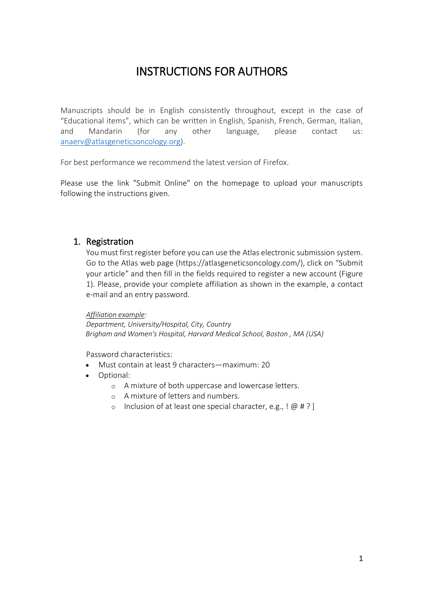# INSTRUCTIONS FOR AUTHORS

Manuscripts should be in English consistently throughout, except in the case of "Educational items", which can be written in English, Spanish, French, German, Italian, and Mandarin (for any other language, please contact us: [anaerv@atlasgeneticsoncology.org\)](mailto:anaerv@atlasgeneticsoncology.org).

For best performance we recommend the latest version of Firefox.

Please use the link "Submit Online" on the homepage to upload your manuscripts following the instructions given.

## 1. Registration

You must first register before you can use the Atlas electronic submission system. Go to the Atlas web page (https://atlasgeneticsoncology.com/), click on "Submit your article" and then fill in the fields required to register a new account (Figure 1). Please, provide your complete affiliation as shown in the example, a contact e-mail and an entry password.

#### *Affiliation example:*

*Department, University/Hospital, City, Country Brigham and Women's Hospital, Harvard Medical School, Boston , MA (USA)*

Password characteristics:

- Must contain at least 9 characters—maximum: 20
- Optional:
	- o A mixture of both uppercase and lowercase letters.
	- o A mixture of letters and numbers.
	- o Inclusion of at least one special character, e.g.,  $[@#?]$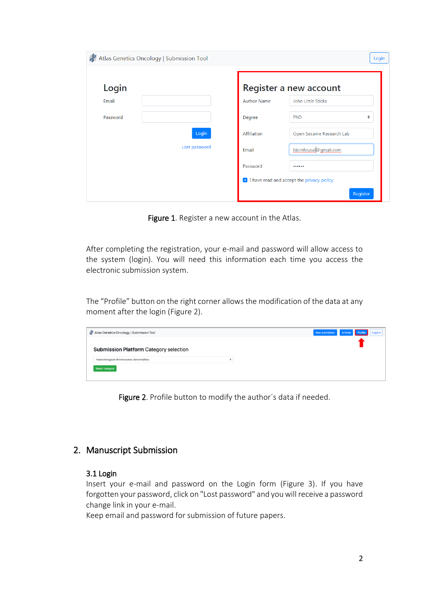| Atlas Genetics Oncology   Submission Tool |               |                    | Login                                     |
|-------------------------------------------|---------------|--------------------|-------------------------------------------|
| Login                                     |               |                    | Register a new account                    |
| Email                                     |               | <b>Author Name</b> | John Little Sticks                        |
| Password                                  |               | Degree             | PhD<br>٠                                  |
|                                           | Login         | Affiliation        | Open Sesame Research Lab                  |
|                                           | Lost password | Email              | bioinfousal@gmail.com                     |
|                                           |               | Password           |                                           |
|                                           |               |                    | I have read and accept the privacy policy |
|                                           |               |                    | Register                                  |

Figure 1. Register a new account in the Atlas.

After completing the registration, your e-mail and password will allow access to the system (login). You will need this information each time you access the electronic submission system.

The "Profile" button on the right corner allows the modification of the data at any moment after the login (Figure 2).

| New submission Articles Profile Logout |
|----------------------------------------|
|                                        |
|                                        |
|                                        |
|                                        |
|                                        |

Figure 2. Profile button to modify the author's data if needed.

## 2. Manuscript Submission

#### 3.1 Login

Insert your e-mail and password on the Login form (Figure 3). If you have forgotten your password, click on "Lost password" and you will receive a password change link in your e-mail.

Keep email and password for submission of future papers.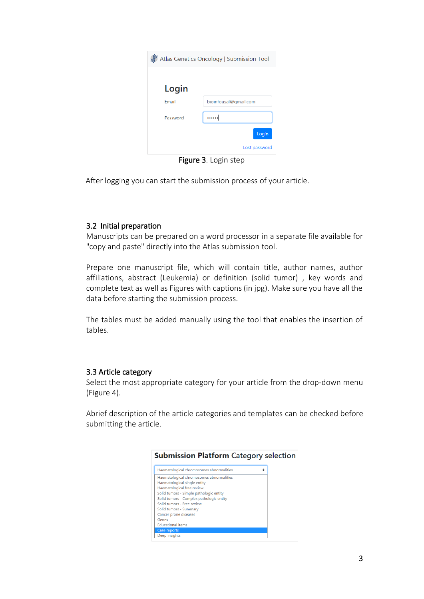| Atlas Genetics Oncology   Submission Tool |                       |  |  |  |
|-------------------------------------------|-----------------------|--|--|--|
|                                           |                       |  |  |  |
| Login                                     |                       |  |  |  |
| <b>Email</b>                              | bioinfousal@gmail.com |  |  |  |
| Password                                  |                       |  |  |  |
|                                           | Login                 |  |  |  |
|                                           | Lost password         |  |  |  |

Figure 3. Login step

After logging you can start the submission process of your article.

## 3.2 Initial preparation

Manuscripts can be prepared on a word processor in a separate file available for "copy and paste" directly into the Atlas submission tool.

Prepare one manuscript file, which will contain title, author names, author affiliations, abstract (Leukemia) or definition (solid tumor) , key words and complete text as well as Figures with captions (in jpg). Make sure you have all the data before starting the submission process.

The tables must be added manually using the tool that enables the insertion of tables.

## 3.3 Article category

Select the most appropriate category for your article from the drop-down menu (Figure 4).

Abrief description of the article categories and templates can be checked before submitting the article.

| Haematological chromosomes abnormalities<br>÷<br>Haematological chromosomes abnormalities<br>Haematological single entity<br>Haematological free review<br>Solid tumors - Simple pathologic entity<br>Solid tumors - Complex pathologic entity<br>Solid tumors - Free review<br>Solid tumors - Summary<br>Cancer prone diseases<br>Genes<br><b>Educational items</b><br><b>Case reports</b><br>Deep insights |  |
|--------------------------------------------------------------------------------------------------------------------------------------------------------------------------------------------------------------------------------------------------------------------------------------------------------------------------------------------------------------------------------------------------------------|--|
|                                                                                                                                                                                                                                                                                                                                                                                                              |  |
|                                                                                                                                                                                                                                                                                                                                                                                                              |  |
|                                                                                                                                                                                                                                                                                                                                                                                                              |  |
|                                                                                                                                                                                                                                                                                                                                                                                                              |  |
|                                                                                                                                                                                                                                                                                                                                                                                                              |  |
|                                                                                                                                                                                                                                                                                                                                                                                                              |  |
|                                                                                                                                                                                                                                                                                                                                                                                                              |  |
|                                                                                                                                                                                                                                                                                                                                                                                                              |  |
|                                                                                                                                                                                                                                                                                                                                                                                                              |  |
|                                                                                                                                                                                                                                                                                                                                                                                                              |  |
|                                                                                                                                                                                                                                                                                                                                                                                                              |  |
|                                                                                                                                                                                                                                                                                                                                                                                                              |  |
|                                                                                                                                                                                                                                                                                                                                                                                                              |  |

#### **Submission Platform Category selection**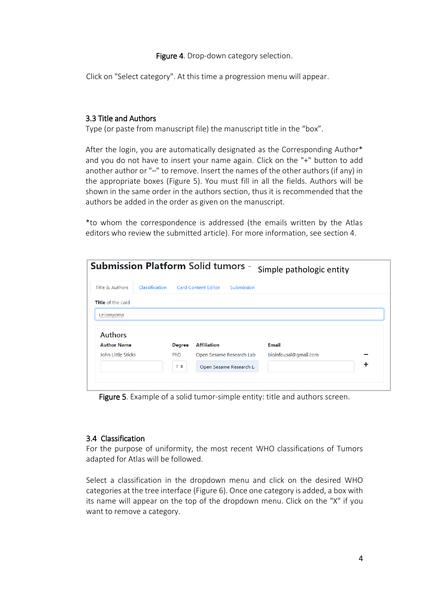#### Figure 4. Drop-down category selection.

Click on "Select category". At this time a progression menu will appear.

## 3.3 Title and Authors

Type (or paste from manuscript file) the manuscript title in the "box".

After the login, you are automatically designated as the Corresponding Author\* and you do not have to insert your name again. Click on the "+" button to add another author or "–" to remove. Insert the names of the other authors (if any) in the appropriate boxes (Figure 5). You must fill in all the fields. Authors will be shown in the same order in the authors section, thus it is recommended that the authors be added in the order as given on the manuscript.

\*to whom the correspondence is addressed (the emails written by the Atlas editors who review the submitted article). For more information, see section 4.

| <b>Submission Platform Solid tumors -</b> |                |               |                            |                          | Simple pathologic entity |   |
|-------------------------------------------|----------------|---------------|----------------------------|--------------------------|--------------------------|---|
| Title & Authors                           | Classification |               | <b>Card Content Editor</b> | Submission               |                          |   |
| <b>Title</b> of the card                  |                |               |                            |                          |                          |   |
| Leiomyoma                                 |                |               |                            |                          |                          |   |
|                                           |                |               |                            |                          |                          |   |
| <b>Authors</b>                            |                |               |                            |                          |                          |   |
| <b>Author Name</b>                        |                | <b>Degree</b> | <b>Affiliation</b>         |                          | Email                    |   |
| <b>John Little Sticks</b>                 |                | <b>PhD</b>    |                            | Open Sesame Research Lab | bioinfousal@gmail.com    |   |
|                                           |                | F÷            |                            | Open Sesame Research La  |                          | + |
|                                           |                |               |                            |                          |                          |   |

Figure 5. Example of a solid tumor-simple entity: title and authors screen.

#### 3.4 Classification

For the purpose of uniformity, the most recent WHO classifications of Tumors adapted for Atlas will be followed.

Select a classification in the dropdown menu and click on the desired WHO categories at the tree interface (Figure 6). Once one category is added, a box with its name will appear on the top of the dropdown menu. Click on the "X" if you want to remove a category.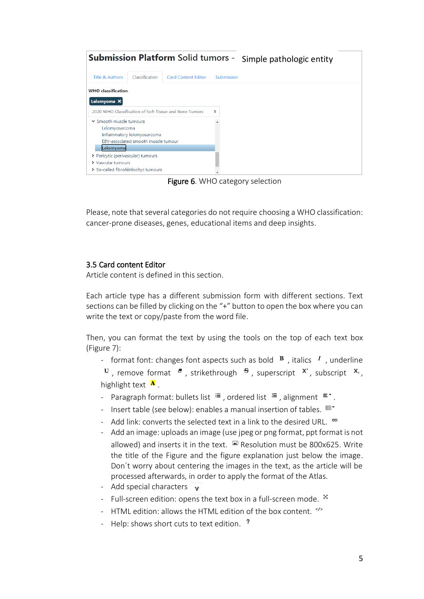| <b>Submission Platform Solid tumors -</b> |                                     |                                                        | Simple pathologic entity |  |
|-------------------------------------------|-------------------------------------|--------------------------------------------------------|--------------------------|--|
| Title & Authors                           | Classification                      | <b>Card Content Editor</b>                             | Submission               |  |
| <b>WHO</b> classification.                |                                     |                                                        |                          |  |
| Leiomyoma X                               |                                     |                                                        |                          |  |
|                                           |                                     | 2020 WHO Classification of Soft Tissue and Bone Tumors | ÷                        |  |
| ▼ Smooth muscle tumours                   |                                     |                                                        |                          |  |
| Leiomyosarcoma                            |                                     |                                                        |                          |  |
|                                           | Inflammatory leiomyosarcoma         |                                                        |                          |  |
|                                           | EBV-associated smooth muscle tumour |                                                        |                          |  |
| Leiomyoma                                 |                                     |                                                        |                          |  |
| > Pericytic (perivascular) tumours        |                                     |                                                        |                          |  |
| > Vascular tumours                        |                                     |                                                        |                          |  |
| > So-called fibrohistiocityc tumours      |                                     |                                                        |                          |  |
|                                           |                                     |                                                        |                          |  |

Figure 6. WHO category selection

Please, note that several categories do not require choosing a WHO classification: cancer-prone diseases, genes, educational items and deep insights.

## 3.5 Card content Editor

Article content is defined in this section.

Each article type has a different submission form with different sections. Text sections can be filled by clicking on the "+" button to open the box where you can write the text or copy/paste from the word file.

Then, you can format the text by using the tools on the top of each text box (Figure 7):

- format font: changes font aspects such as bold  $\overline{B}$ , italics  $I$ , underline

 $\frac{U}{I}$ , remove format  $\frac{d}{dt}$ , strikethrough  $\frac{dS}{dt}$ , superscript  $X$ , subscript  $X$ , highlight text  $\mathbf{A}$ .

- Paragraph format: bullets list  $\equiv$  , ordered list  $\equiv$  , alignment  $\equiv$   $\sim$ .
- Insert table (see below): enables a manual insertion of tables.  $\mathbb{H}^*$
- Add link: converts the selected text in a link to the desired URL.  $e^{\Theta}$
- Add an image: uploads an image (use jpeg or png format, ppt format is not allowed) and inserts it in the text.  $\Box$  Resolution must be 800x625. Write the title of the Figure and the figure explanation just below the image. Don´t worry about centering the images in the text, as the article will be processed afterwards, in order to apply the format of the Atlas.
- Add special characters  $\overline{v}$
- Full-screen edition: opens the text box in a full-screen mode.  $^{\text{X}}$
- HTML edition: allows the HTML edition of the box content.  $\frac{1}{2}$
- Help: shows short cuts to text edition. ?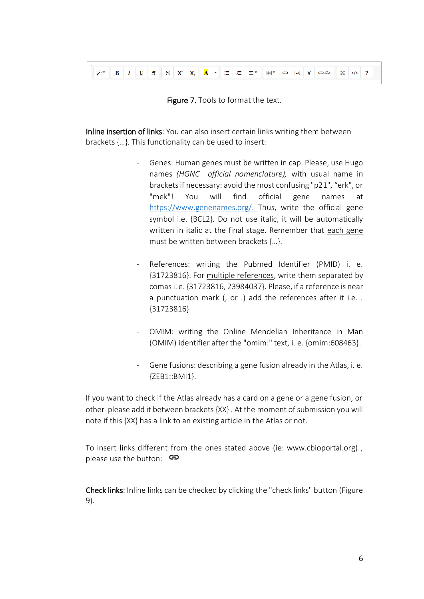



Inline insertion of links: You can also insert certain links writing them between brackets {…}. This functionality can be used to insert:

- Genes: Human genes must be written in cap. Please, use Hugo names *(HGNC official nomenclature),* with usual name in brackets if necessary: avoid the most confusing "p21", "erk", or "mek"! You will find official gene names at [https://www.genenames.org/.](https://www.genenames.org/) Thus, write the official gene symbol i.e. {BCL2}. Do not use italic, it will be automatically written in italic at the final stage. Remember that each gene must be written between brackets {…}.
- References: writing the Pubmed Identifier (PMID) i. e. {31723816}. For multiple references, write them separated by comas i. e. {31723816, 23984037}. Please, if a reference is near a punctuation mark (, or .) add the references after it i.e. . {31723816}
- OMIM: writing the Online Mendelian Inheritance in Man (OMIM) identifier after the "omim:" text, i. e. {omim:608463}.
- Gene fusions: describing a gene fusion already in the Atlas, i. e. {ZEB1::BMI1}.

If you want to check if the Atlas already has a card on a gene or a gene fusion, or other please add it between brackets {XX} . At the moment of submission you will note if this {XX} has a link to an existing article in the Atlas or not.

To insert links different from the ones stated above (ie: www.cbioportal.org) , please use the button:  $\epsilon$ 

Check links: Inline links can be checked by clicking the "check links" button (Figure 9).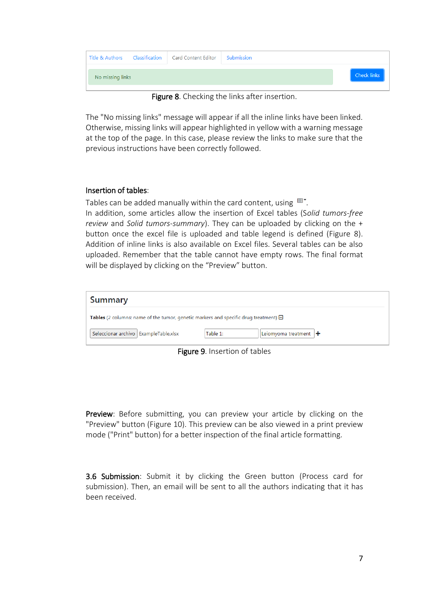| No missing links |  | <b>Check links</b> |
|------------------|--|--------------------|

Figure 8. Checking the links after insertion.

The "No missing links" message will appear if all the inline links have been linked. Otherwise, missing links will appear highlighted in yellow with a warning message at the top of the page. In this case, please review the links to make sure that the previous instructions have been correctly followed.

### Insertion of tables:

Tables can be added manually within the card content, using  $\mathbb{H}^*$ . In addition, some articles allow the insertion of Excel tables (S*olid tumors-free review* and *Solid tumors-summary*). They can be uploaded by clicking on the + button once the excel file is uploaded and table legend is defined (Figure 8). Addition of inline links is also available on Excel files. Several tables can be also uploaded. Remember that the table cannot have empty rows. The final format will be displayed by clicking on the "Preview" button.

| <b>Summary</b>                                                                                   |          |                                  |  |  |  |  |
|--------------------------------------------------------------------------------------------------|----------|----------------------------------|--|--|--|--|
| <b>Tables</b> (2 columns: name of the tumor, genetic markers and specific drug treatment) $\Box$ |          |                                  |  |  |  |  |
| Seleccionar archivo   ExampleTable.xlsx                                                          | Table 1: | Leiomyoma treatment $ \bigarrow$ |  |  |  |  |

Figure 9. Insertion of tables

Preview: Before submitting, you can preview your article by clicking on the "Preview" button (Figure 10). This preview can be also viewed in a print preview mode ("Print" button) for a better inspection of the final article formatting.

3.6 Submission: Submit it by clicking the Green button (Process card for submission). Then, an email will be sent to all the authors indicating that it has been received.